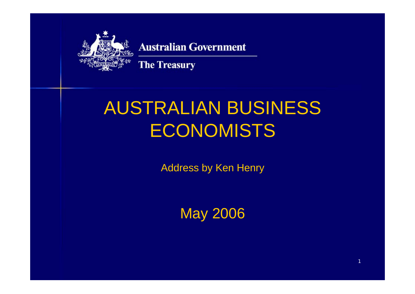

#### **Australian Government**

**The Treasury** 

# AUSTRALIAN BUSINESS **ECONOMISTS**

Address by Ken Henry

May 2006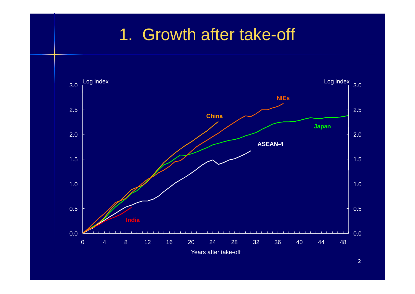## 1. Growth after take-off

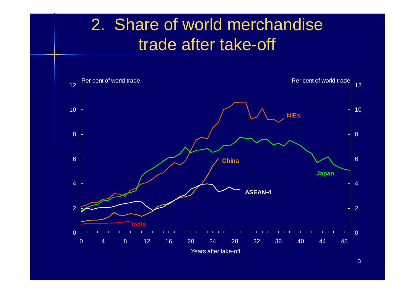## 2. Share of world merchandise trade after take-off

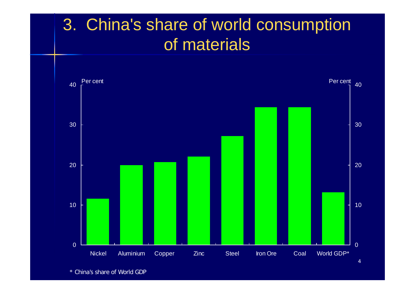## 3. China's share of world consumption of materials

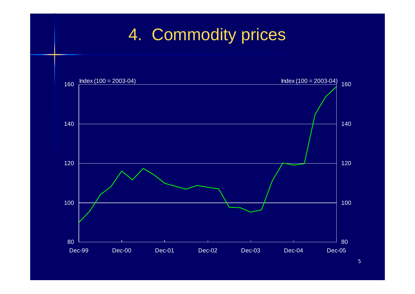# 4. Commodity prices

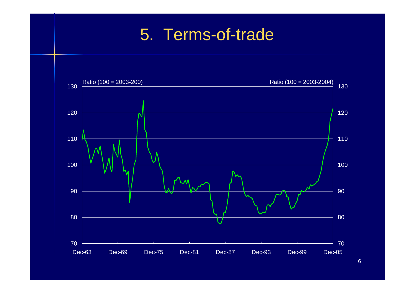## 5. Terms-of-trade

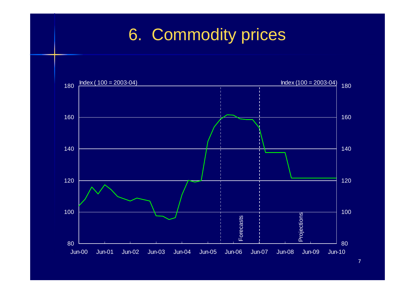# 6. Commodity prices

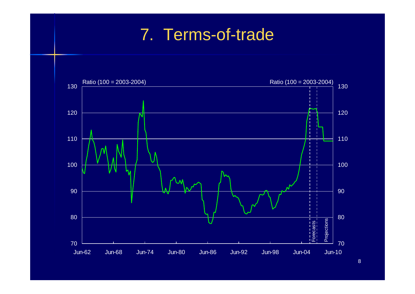## 7. Terms-of-trade

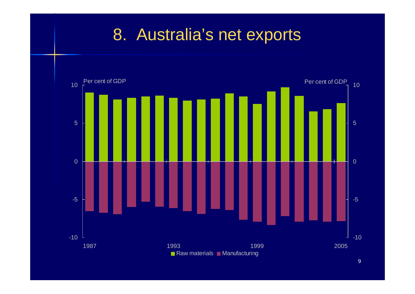## 8. Australia's net exports

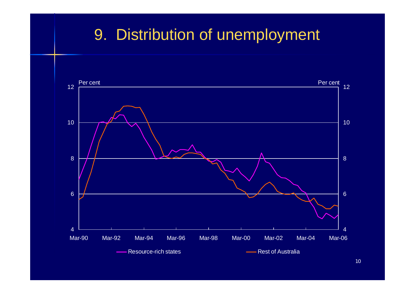## 9. Distribution of unemployment

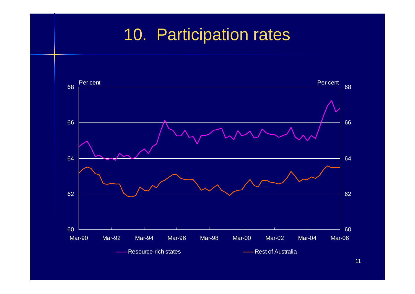# 10. Participation rates

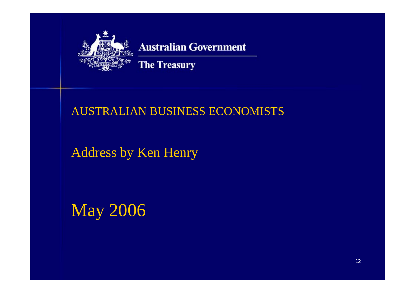

### **Australian Government**

**The Treasury** 

### AUSTRALIAN BUSINESS ECONOMISTS

## Address by Ken Henry

May 2006